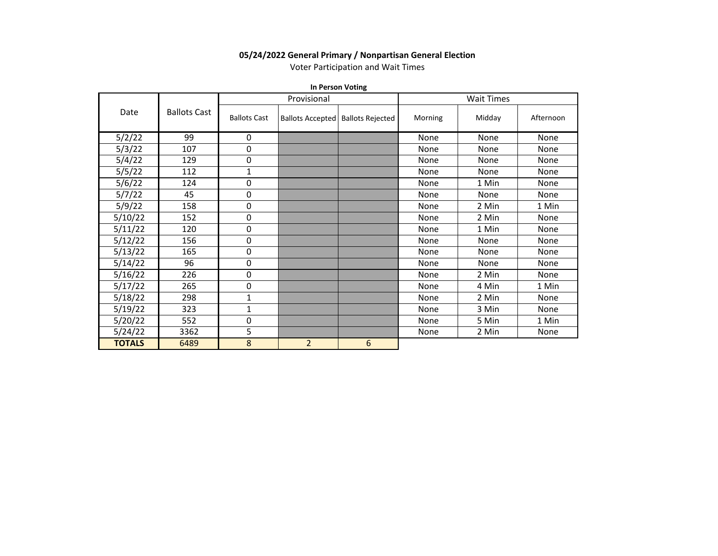## **05/24/2022 General Primary / Nonpartisan General Election**

Voter Participation and Wait Times

**In Person Voting**

|               |                     |                     | Provisional    |                                     | <b>Wait Times</b> |        |           |  |  |  |  |
|---------------|---------------------|---------------------|----------------|-------------------------------------|-------------------|--------|-----------|--|--|--|--|
| Date          | <b>Ballots Cast</b> | <b>Ballots Cast</b> |                | Ballots Accepted   Ballots Rejected | Morning           | Midday | Afternoon |  |  |  |  |
| 5/2/22        | 99                  | 0                   |                |                                     | None              | None   | None      |  |  |  |  |
| 5/3/22        | 107                 | 0                   |                |                                     | None              | None   | None      |  |  |  |  |
| 5/4/22        | 129                 | 0                   |                |                                     | None              | None   | None      |  |  |  |  |
| 5/5/22        | 112                 | 1                   |                |                                     | None              | None   | None      |  |  |  |  |
| 5/6/22        | 124                 | 0                   |                |                                     | None              | 1 Min  | None      |  |  |  |  |
| 5/7/22        | 45                  | 0                   |                |                                     | None              | None   | None      |  |  |  |  |
| 5/9/22        | 158                 | 0                   |                |                                     | None              | 2 Min  | 1 Min     |  |  |  |  |
| 5/10/22       | 152                 | 0                   |                |                                     | None              | 2 Min  | None      |  |  |  |  |
| 5/11/22       | 120                 | 0                   |                |                                     | None              | 1 Min  | None      |  |  |  |  |
| 5/12/22       | 156                 | 0                   |                |                                     | None              | None   | None      |  |  |  |  |
| 5/13/22       | 165                 | 0                   |                |                                     | None              | None   | None      |  |  |  |  |
| 5/14/22       | 96                  | 0                   |                |                                     | None              | None   | None      |  |  |  |  |
| 5/16/22       | 226                 | $\pmb{0}$           |                |                                     | None              | 2 Min  | None      |  |  |  |  |
| 5/17/22       | 265                 | 0                   |                |                                     | None              | 4 Min  | 1 Min     |  |  |  |  |
| 5/18/22       | 298                 | 1                   |                |                                     | None              | 2 Min  | None      |  |  |  |  |
| 5/19/22       | 323                 | 1                   |                |                                     | None              | 3 Min  | None      |  |  |  |  |
| 5/20/22       | 552                 | 0                   |                |                                     | None              | 5 Min  | 1 Min     |  |  |  |  |
| 5/24/22       | 3362                | 5                   |                |                                     | None              | 2 Min  | None      |  |  |  |  |
| <b>TOTALS</b> | 6489                | 8                   | $\overline{2}$ | 6                                   |                   |        |           |  |  |  |  |